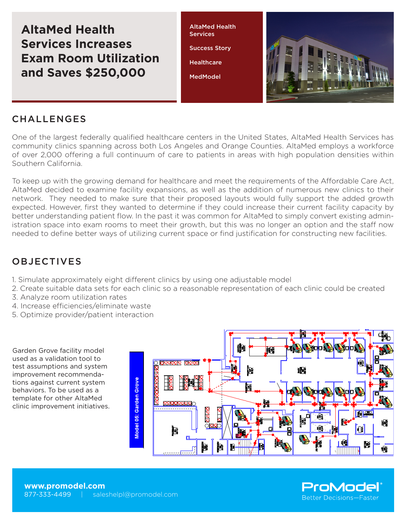**AltaMed Health Services Increases Exam Room Utilization and Saves \$250,000**

AltaMed Health **Services** Success Story **Healthcare** 

**MedModel** 



## **CHALLENGES**

One of the largest federally qualified healthcare centers in the United States, AltaMed Health Services has community clinics spanning across both Los Angeles and Orange Counties. AltaMed employs a workforce of over 2,000 offering a full continuum of care to patients in areas with high population densities within Southern California.

To keep up with the growing demand for healthcare and meet the requirements of the Affordable Care Act, AltaMed decided to examine facility expansions, as well as the addition of numerous new clinics to their network. They needed to make sure that their proposed layouts would fully support the added growth expected. However, first they wanted to determine if they could increase their current facility capacity by better understanding patient flow. In the past it was common for AltaMed to simply convert existing administration space into exam rooms to meet their growth, but this was no longer an option and the staff now needed to define better ways of utilizing current space or find justification for constructing new facilities.

## OBJECTIVES

- 1. Simulate approximately eight different clinics by using one adjustable model
- 2. Create suitable data sets for each clinic so a reasonable representation of each clinic could be created
- 3. Analyze room utilization rates
- 4. Increase efficiencies/eliminate waste
- 5. Optimize provider/patient interaction

Garden Grove facility model used as a validation tool to test assumptions and system improvement recommendations against current system behaviors. To be used as a template for other AltaMed clinic improvement initiatives.